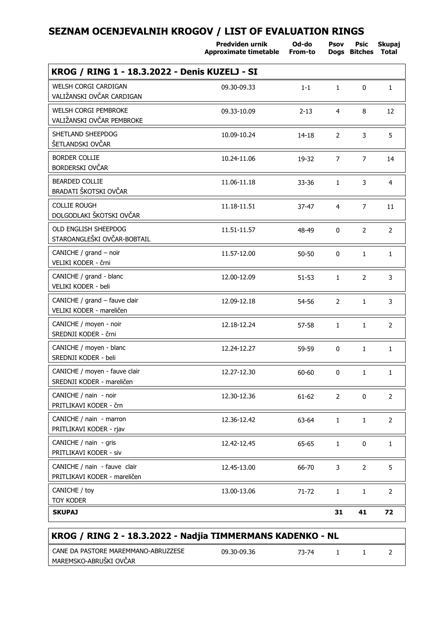|                                                              | Predviden urnik<br>Approximate timetable | Od-do<br>From-to | Psov           | Psic<br>Dogs Bitches | Skupaj<br><b>Total</b> |
|--------------------------------------------------------------|------------------------------------------|------------------|----------------|----------------------|------------------------|
| KROG / RING 1 - 18.3.2022 - Denis KUZELJ - SI                |                                          |                  |                |                      |                        |
| <b>WELSH CORGI CARDIGAN</b><br>VALIŽANSKI OVČAR CARDIGAN     | 09.30-09.33                              | $1 - 1$          | $\mathbf{1}$   | 0                    | $\mathbf{1}$           |
| <b>WELSH CORGI PEMBROKE</b><br>VALIŽANSKI OVČAR PEMBROKE     | 09.33-10.09                              | $2 - 13$         | $\overline{4}$ | 8                    | 12                     |
| SHETLAND SHEEPDOG<br>ŠETLANDSKI OVČAR                        | 10.09-10.24                              | $14 - 18$        | $\overline{2}$ | 3                    | 5                      |
| <b>BORDER COLLIE</b><br>BORDERSKI OVČAR                      | 10.24-11.06                              | 19-32            | $\overline{7}$ | $\overline{7}$       | 14                     |
| <b>BEARDED COLLIE</b><br>BRADATI ŠKOTSKI OVČAR               | 11.06-11.18                              | 33-36            | $\mathbf{1}$   | 3                    | $\overline{4}$         |
| <b>COLLIE ROUGH</b><br>DOLGODLAKI ŠKOTSKI OVČAR              | 11.18-11.51                              | $37 - 47$        | $\overline{4}$ | $\overline{7}$       | 11                     |
| OLD ENGLISH SHEEPDOG<br>STAROANGLEŠKI OVČAR-BOBTAIL          | 11.51-11.57                              | 48-49            | $\mathbf{0}$   | $\overline{2}$       | $\overline{2}$         |
| CANICHE / grand - noir<br>VELIKI KODER - črni                | 11.57-12.00                              | $50 - 50$        | 0              | $\mathbf{1}$         | $\mathbf{1}$           |
| CANICHE / grand - blanc<br>VELIKI KODER - beli               | 12.00-12.09                              | $51 - 53$        | $\mathbf{1}$   | 2                    | 3                      |
| CANICHE / grand - fauve clair<br>VELIKI KODER - mareličen    | 12.09-12.18                              | 54-56            | 2              | $\mathbf{1}$         | 3                      |
| CANICHE / moyen - noir<br>SREDNJI KODER - črni               | 12.18-12.24                              | 57-58            | $\mathbf{1}$   | $\mathbf{1}$         | $\overline{2}$         |
| CANICHE / moyen - blanc<br>SREDNJI KODER - beli              | 12.24-12.27                              | 59-59            | 0              | $\mathbf{1}$         | $\mathbf{1}$           |
| CANICHE / moyen - fauve clair<br>SREDNJI KODER - mareličen   | 12.27-12.30                              | 60-60            | 0              | $\mathbf{1}$         | $\mathbf{1}$           |
| CANICHE / nain - noir<br>PRITLIKAVI KODER - črn              | 12.30-12.36                              | $61 - 62$        | $\overline{2}$ | $\mathbf{0}$         | $\overline{2}$         |
| CANICHE / nain - marron<br>PRITLIKAVI KODER - rjav           | 12.36-12.42                              | 63-64            | $\mathbf{1}$   | $\mathbf{1}$         | $\overline{2}$         |
| CANICHE / nain - gris<br>PRITLIKAVI KODER - siv              | 12.42-12.45                              | 65-65            | $\mathbf{1}$   | 0                    | $\mathbf{1}$           |
| CANICHE / nain - fauve clair<br>PRITLIKAVI KODER - mareličen | 12.45-13.00                              | 66-70            | 3              | 2                    | 5                      |
| CANICHE / toy                                                | 13.00-13.06                              | 71-72            | $\mathbf{1}$   | $\mathbf{1}$         | $\overline{2}$         |
| TOY KODER<br><b>SKUPAJ</b>                                   |                                          |                  | 31             | 41                   | 72                     |

| CANE DA PASTORE MAREMMANO-ABRUZZESE | 09.30-09.36 | 73-74 |  |  |  |
|-------------------------------------|-------------|-------|--|--|--|
| MAREMSKO-ABRUŠKI OVČAR              |             |       |  |  |  |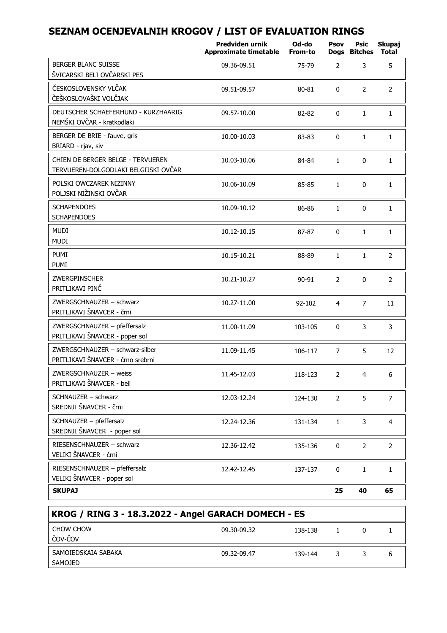|                                                                           | Predviden urnik<br><b>Approximate timetable</b> | Od-do<br>From-to | Psov           | Psic<br>Dogs Bitches | Skupaj<br><b>Total</b> |
|---------------------------------------------------------------------------|-------------------------------------------------|------------------|----------------|----------------------|------------------------|
| <b>BERGER BLANC SUISSE</b><br>ŠVICARSKI BELI OVČARSKI PES                 | 09.36-09.51                                     | 75-79            | $\overline{2}$ | 3                    | 5                      |
| ČESKOSLOVENSKY VLČAK<br>ČEŠKOSLOVAŠKI VOLČJAK                             | 09.51-09.57                                     | 80-81            | $\mathbf{0}$   | $\overline{2}$       | $\overline{2}$         |
| DEUTSCHER SCHAEFERHUND - KURZHAARIG<br>NEMŠKI OVČAR - kratkodlaki         | 09.57-10.00                                     | 82-82            | $\Omega$       | $\mathbf{1}$         | $\mathbf{1}$           |
| BERGER DE BRIE - fauve, gris<br>BRIARD - rjav, siv                        | 10.00-10.03                                     | 83-83            | $\mathbf 0$    | $\mathbf{1}$         | $\mathbf{1}$           |
| CHIEN DE BERGER BELGE - TERVUEREN<br>TERVUEREN-DOLGODLAKI BELGIJSKI OVČAR | 10.03-10.06                                     | 84-84            | $\mathbf{1}$   | $\Omega$             | $\mathbf{1}$           |
| POLSKI OWCZAREK NIZINNY<br>POLJSKI NIŽINSKI OVČAR                         | 10.06-10.09                                     | 85-85            | $\mathbf{1}$   | 0                    | $\mathbf{1}$           |
| <b>SCHAPENDOES</b><br><b>SCHAPENDOES</b>                                  | 10.09-10.12                                     | 86-86            | $\mathbf{1}$   | 0                    | $\mathbf{1}$           |
| <b>MUDI</b><br>MUDI                                                       | 10.12-10.15                                     | 87-87            | $\mathbf 0$    | $\mathbf{1}$         | $\mathbf{1}$           |
| PUMI<br>PUMI                                                              | 10.15-10.21                                     | 88-89            | $\mathbf{1}$   | $\mathbf{1}$         | $\overline{2}$         |
| <b>ZWERGPINSCHER</b><br>PRITLIKAVI PINČ                                   | 10.21-10.27                                     | 90-91            | 2              | $\mathbf{0}$         | $\overline{2}$         |
| ZWERGSCHNAUZER - schwarz<br>PRITLIKAVI ŠNAVCER - črni                     | 10.27-11.00                                     | 92-102           | $\overline{4}$ | $\overline{7}$       | 11                     |
| ZWERGSCHNAUZER - pfeffersalz<br>PRITLIKAVI ŠNAVCER - poper sol            | 11.00-11.09                                     | 103-105          | $\mathbf{0}$   | 3                    | 3                      |
| ZWERGSCHNAUZER - schwarz-silber<br>PRITLIKAVI ŠNAVCER - črno srebrni      | 11.09-11.45                                     | 106-117          | $\overline{7}$ | 5                    | 12                     |
| ZWERGSCHNAUZER - weiss<br>PRITLIKAVI ŠNAVCER - beli                       | 11.45-12.03                                     | 118-123          | $\overline{2}$ | $\overline{4}$       | 6                      |
| SCHNAUZER - schwarz<br>SREDNJI ŠNAVCER - črni                             | 12.03-12.24                                     | 124-130          | $\overline{2}$ | 5                    | $\overline{7}$         |
| SCHNAUZER - pfeffersalz<br>SREDNJI ŠNAVCER - poper sol                    | 12.24-12.36                                     | 131-134          | $\mathbf{1}$   | 3                    | $\overline{4}$         |
| RIESENSCHNAUZER - schwarz<br>VELIKI ŠNAVCER - črni                        | 12.36-12.42                                     | 135-136          | $\mathbf{0}$   | $\overline{2}$       | $\overline{2}$         |
| RIESENSCHNAUZER - pfeffersalz<br>VELIKI ŠNAVCER - poper sol               | 12.42-12.45                                     | 137-137          | $\Omega$       | $\mathbf{1}$         | $\mathbf{1}$           |
| <b>SKUPAJ</b>                                                             |                                                 |                  | 25             | 40                   | 65                     |

| KROG / RING 3 - 18.3.2022 - Angel GARACH DOMECH - ES |             |         |  |  |
|------------------------------------------------------|-------------|---------|--|--|
| CHOW CHOW<br>  čov-čov                               | 09.30-09.32 | 138-138 |  |  |
| SAMOIEDSKAIA SABAKA<br>SAMOJED                       | 09.32-09.47 | 139-144 |  |  |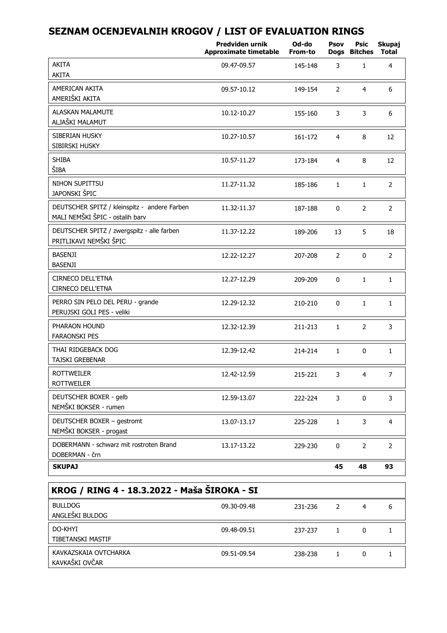|                                                                                 | Predviden urnik<br><b>Approximate timetable</b> | Od-do<br>From-to | Psov           | Psic<br>Dogs Bitches | Skupaj<br><b>Total</b> |
|---------------------------------------------------------------------------------|-------------------------------------------------|------------------|----------------|----------------------|------------------------|
| AKITA                                                                           | 09.47-09.57                                     | 145-148          | 3              | $\mathbf{1}$         | $\overline{4}$         |
| AKITA                                                                           |                                                 |                  |                |                      |                        |
| AMERICAN AKITA<br>AMERIŠKI AKITA                                                | 09.57-10.12                                     | 149-154          | $\overline{2}$ | $\overline{4}$       | 6                      |
| ALASKAN MALAMUTE<br>ALJAŠKI MALAMUT                                             | 10.12-10.27                                     | 155-160          | 3              | 3                    | 6                      |
| SIBERIAN HUSKY<br>SIBIRSKI HUSKY                                                | 10.27-10.57                                     | 161-172          | $\overline{4}$ | 8                    | 12                     |
| <b>SHIBA</b><br>ŠIBA                                                            | 10.57-11.27                                     | 173-184          | $\overline{4}$ | 8                    | 12                     |
| NIHON SUPITTSU<br>JAPONSKI ŠPIC                                                 | 11.27-11.32                                     | 185-186          | $\mathbf{1}$   | $\mathbf{1}$         | 2                      |
| DEUTSCHER SPITZ / kleinspitz - andere Farben<br>MALI NEMŠKI ŠPIC - ostalih barv | 11.32-11.37                                     | 187-188          | $\Omega$       | $\overline{2}$       | $\overline{2}$         |
| DEUTSCHER SPITZ / zwergspitz - alle farben<br>PRITLIKAVI NEMŠKI ŠPIC            | 11.37-12.22                                     | 189-206          | 13             | 5                    | 18                     |
| BASENJI<br><b>BASENJI</b>                                                       | 12.22-12.27                                     | 207-208          | $\overline{2}$ | 0                    | $\overline{2}$         |
| CIRNECO DELL'ETNA<br>CIRNECO DELL'ETNA                                          | 12.27-12.29                                     | 209-209          | $\Omega$       | $\mathbf{1}$         | $\mathbf{1}$           |
| PERRO SIN PELO DEL PERU - grande<br>PERUJSKI GOLI PES - veliki                  | 12.29-12.32                                     | 210-210          | 0              | $\mathbf{1}$         | $\mathbf{1}$           |
| PHARAON HOUND<br><b>FARAONSKI PES</b>                                           | 12.32-12.39                                     | 211-213          | $\mathbf{1}$   | $\overline{2}$       | 3                      |
| THAI RIDGEBACK DOG<br>TAJSKI GREBENAR                                           | 12.39-12.42                                     | 214-214          | $\mathbf{1}$   | $\Omega$             | $\mathbf{1}$           |
| <b>ROTTWEILER</b><br><b>ROTTWEILER</b>                                          | 12.42-12.59                                     | 215-221          | 3              | $\overline{4}$       | $\overline{7}$         |
| DEUTSCHER BOXER - gelb<br>NEMŠKI BOKSER - rumen                                 | 12.59-13.07                                     | 222-224          | 3              | $\Omega$             | 3                      |
| DEUTSCHER BOXER - gestromt<br>NEMŠKI BOKSER - progast                           | 13.07-13.17                                     | 225-228          | $\mathbf{1}$   | 3                    | $\overline{4}$         |
| DOBERMANN - schwarz mit rostroten Brand<br>DOBERMAN - črn                       | 13.17-13.22                                     | 229-230          | $\Omega$       | 2                    | $\overline{2}$         |
| <b>SKUPAJ</b>                                                                   |                                                 |                  | 45             | 48                   | 93                     |

| KROG / RING 4 - 18.3.2022 - Maša ŠIROKA - SI |             |         |   |   |   |
|----------------------------------------------|-------------|---------|---|---|---|
| <b>BULLDOG</b><br>ANGLEŠKI BULDOG            | 09.30-09.48 | 231-236 | 2 | 4 | 6 |
| DO-KHYI<br>TIBETANSKI MASTIF                 | 09.48-09.51 | 237-237 |   | 0 |   |
| KAVKAZSKAJA OVTCHARKA<br>KAVKAŠKI OVČAR      | 09.51-09.54 | 238-238 |   | 0 |   |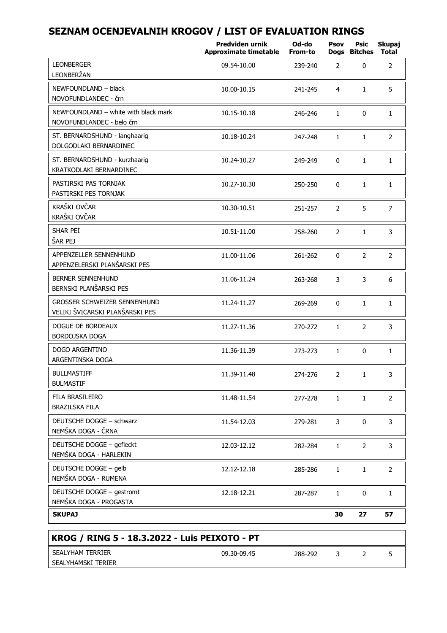|                                                                        | Predviden urnik<br>Approximate timetable | Od-do<br>From-to | Psov           | Psic<br>Dogs Bitches | Skupaj<br>Total |
|------------------------------------------------------------------------|------------------------------------------|------------------|----------------|----------------------|-----------------|
| <b>LEONBERGER</b><br>LEONBERŽAN                                        | 09.54-10.00                              | 239-240          | 2              | 0                    | $\overline{2}$  |
| NEWFOUNDLAND - black<br>NOVOFUNDLANDEC - črn                           | 10.00-10.15                              | 241-245          | 4              | $\mathbf{1}$         | 5               |
| NEWFOUNDLAND - white with black mark<br>NOVOFUNDLANDEC - belo črn      | 10.15-10.18                              | 246-246          | $\mathbf{1}$   | $\mathbf{0}$         | $\mathbf{1}$    |
| ST. BERNARDSHUND - langhaarig<br>DOLGODLAKI BERNARDINEC                | 10.18-10.24                              | 247-248          | 1              | $\mathbf{1}$         | $\overline{2}$  |
| ST. BERNARDSHUND - kurzhaarig<br>KRATKODLAKI BERNARDINEC               | 10.24-10.27                              | 249-249          | 0              | $\mathbf{1}$         | $\mathbf{1}$    |
| PASTIRSKI PAS TORNJAK<br>PASTIRSKI PES TORNJAK                         | 10.27-10.30                              | 250-250          | 0              | $\mathbf{1}$         | $\mathbf{1}$    |
| KRAŠKI OVČAR<br>KRAŠKI OVČAR                                           | 10.30-10.51                              | 251-257          | $\overline{2}$ | 5                    | $\overline{7}$  |
| SHAR PEI<br>ŠAR PEJ                                                    | 10.51-11.00                              | 258-260          | $\overline{2}$ | $\mathbf{1}$         | 3               |
| APPENZELLER SENNENHUND<br>APPENZELERSKI PLANŠARSKI PES                 | 11.00-11.06                              | 261-262          | 0              | $\overline{2}$       | $\overline{2}$  |
| BERNER SENNENHUND<br>BERNSKI PLANŠARSKI PES                            | 11.06-11.24                              | 263-268          | 3              | 3                    | 6               |
| <b>GROSSER SCHWEIZER SENNENHUND</b><br>VELIKI ŠVICARSKI PLANŠARSKI PES | 11.24-11.27                              | 269-269          | 0              | $\mathbf{1}$         | $\mathbf{1}$    |
| DOGUE DE BORDEAUX<br>BORDOJSKA DOGA                                    | 11.27-11.36                              | 270-272          | $\mathbf{1}$   | $\overline{2}$       | 3               |
| <b>DOGO ARGENTINO</b><br>ARGENTINSKA DOGA                              | 11.36-11.39                              | 273-273          | $\mathbf{1}$   | 0                    | $\mathbf{1}$    |
| <b>BULLMASTIFF</b><br><b>BULMASTIF</b>                                 | 11.39-11.48                              | 274-276          | 2              | $\mathbf{1}$         | 3               |
| FILA BRASILEIRO<br><b>BRAZILSKA FILA</b>                               | 11.48-11.54                              | 277-278          | $\mathbf{1}$   | $\mathbf{1}$         | $\overline{2}$  |
| DEUTSCHE DOGGE - schwarz<br>NEMŠKA DOGA - ČRNA                         | 11.54-12.03                              | 279-281          | 3              | $\mathbf{0}$         | 3               |
| DEUTSCHE DOGGE - gefleckt<br>NEMŠKA DOGA - HARLEKIN                    | 12.03-12.12                              | 282-284          | $\mathbf{1}$   | $\overline{2}$       | 3               |
| DEUTSCHE DOGGE - gelb<br>NEMŠKA DOGA - RUMENA                          | 12.12-12.18                              | 285-286          | $\mathbf{1}$   | $\mathbf{1}$         | $\overline{2}$  |
| DEUTSCHE DOGGE - gestromt<br>NEMŠKA DOGA - PROGASTA                    | 12.18-12.21                              | 287-287          | 1              | 0                    | $\mathbf{1}$    |
| <b>SKUPAJ</b>                                                          |                                          |                  | 30             | 27                   | 57              |
| KROG / RING 5 - 18.3.2022 - Luis PEIXOTO - PT                          |                                          |                  |                |                      |                 |
|                                                                        |                                          |                  |                |                      |                 |

| <b>TERRIER</b><br>SEALYHAM | 09.30-09.45 | 288-292<br>ے ت | <b>Service</b> |  |
|----------------------------|-------------|----------------|----------------|--|
| SEALYHAMSKI TERIER         |             |                |                |  |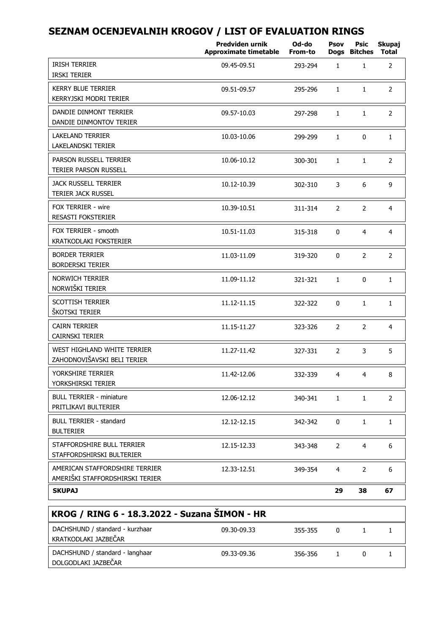|                                                                   | Predviden urnik<br><b>Approximate timetable</b> | Od-do<br>From-to | Psov           | Psic<br>Dogs Bitches | Skupaj<br>Total |
|-------------------------------------------------------------------|-------------------------------------------------|------------------|----------------|----------------------|-----------------|
| <b>IRISH TERRIER</b><br><b>IRSKI TERIER</b>                       | 09.45-09.51                                     | 293-294          | $\mathbf{1}$   | $\mathbf{1}$         | $\overline{2}$  |
| <b>KERRY BLUE TERRIER</b><br>KERRYJSKI MODRI TERIER               | 09.51-09.57                                     | 295-296          | $\mathbf{1}$   | $\mathbf{1}$         | $\overline{2}$  |
| DANDIE DINMONT TERRIER<br>DANDIE DINMONTOV TERIER                 | 09.57-10.03                                     | 297-298          | $\mathbf{1}$   | $\mathbf{1}$         | $\overline{2}$  |
| <b>LAKELAND TERRIER</b><br>LAKELANDSKI TERIER                     | 10.03-10.06                                     | 299-299          | $\mathbf{1}$   | $\Omega$             | $\mathbf{1}$    |
| PARSON RUSSELL TERRIER<br>TERIER PARSON RUSSELL                   | 10.06-10.12                                     | 300-301          | $\mathbf{1}$   | $\mathbf{1}$         | $\overline{2}$  |
| <b>JACK RUSSELL TERRIER</b><br>TERIER JACK RUSSEL                 | 10.12-10.39                                     | 302-310          | 3              | 6                    | 9               |
| FOX TERRIER - wire<br><b>RESASTI FOKSTERIER</b>                   | 10.39-10.51                                     | 311-314          | $\overline{2}$ | $\overline{2}$       | 4               |
| FOX TERRIER - smooth<br>KRATKODLAKI FOKSTERIER                    | 10.51-11.03                                     | 315-318          | 0              | $\overline{4}$       | $\overline{4}$  |
| <b>BORDER TERRIER</b><br><b>BORDERSKI TERIER</b>                  | 11.03-11.09                                     | 319-320          | $\Omega$       | $\overline{2}$       | $\overline{2}$  |
| <b>NORWICH TERRIER</b><br>NORWIŠKI TERIER                         | 11.09-11.12                                     | 321-321          | $\mathbf{1}$   | 0                    | 1               |
| <b>SCOTTISH TERRIER</b><br>ŠKOTSKI TERIER                         | 11.12-11.15                                     | 322-322          | 0              | $\mathbf{1}$         | $\mathbf{1}$    |
| <b>CAIRN TERRIER</b><br><b>CAIRNSKI TERIER</b>                    | 11.15-11.27                                     | 323-326          | $\overline{2}$ | $\overline{2}$       | $\overline{4}$  |
| WEST HIGHLAND WHITE TERRIER<br>ZAHODNOVIŠAVSKI BELI TERIER        | 11.27-11.42                                     | 327-331          | $\overline{2}$ | 3                    | 5               |
| YORKSHIRE TERRIER<br>YORKSHIRSKI TERIER                           | 11.42-12.06                                     | 332-339          | 4              | 4                    | 8               |
| <b>BULL TERRIER - miniature</b><br>PRITLIKAVI BULTERIER           | 12.06-12.12                                     | 340-341          | $\mathbf{1}$   | $\mathbf{1}$         | 2               |
| <b>BULL TERRIER - standard</b><br><b>BULTERIER</b>                | 12.12-12.15                                     | 342-342          | 0              | $\mathbf{1}$         | $\mathbf{1}$    |
| STAFFORDSHIRE BULL TERRIER<br>STAFFORDSHIRSKI BULTERIER           | 12.15-12.33                                     | 343-348          | $\overline{2}$ | 4                    | 6               |
| AMERICAN STAFFORDSHIRE TERRIER<br>AMERIŠKI STAFFORDSHIRSKI TERIER | 12.33-12.51                                     | 349-354          | 4              | 2                    | 6               |
| <b>SKUPAJ</b>                                                     |                                                 |                  | 29             | 38                   | 67              |

| KROG / RING 6 - 18.3.2022 - Suzana ŠIMON - HR           |             |         |          |  |
|---------------------------------------------------------|-------------|---------|----------|--|
| DACHSHUND / standard - kurzhaar<br>KRATKODLAKI JAZBEČAR | 09.30-09.33 | 355-355 | $\Omega$ |  |
| DACHSHUND / standard - langhaar<br>DOLGODLAKI JAZBEČAR  | 09.33-09.36 | 356-356 |          |  |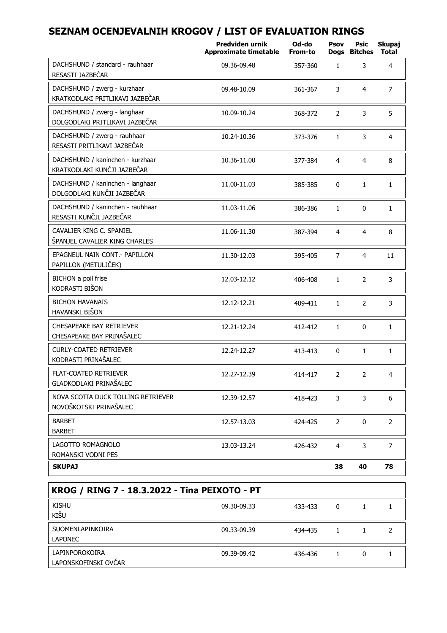|                                                                 | Predviden urnik<br><b>Approximate timetable</b> | Od-do<br>From-to | Psov           | Psic<br>Dogs Bitches | Skupaj<br><b>Total</b> |
|-----------------------------------------------------------------|-------------------------------------------------|------------------|----------------|----------------------|------------------------|
| DACHSHUND / standard - rauhhaar<br>RESASTI JAZBEČAR             | 09.36-09.48                                     | 357-360          | $\mathbf{1}$   | 3                    | 4                      |
| DACHSHUND / zwerg - kurzhaar<br>KRATKODLAKI PRITLIKAVI JAZBEČAR | 09.48-10.09                                     | 361-367          | 3              | $\overline{4}$       | $\overline{7}$         |
| DACHSHUND / zwerg - langhaar<br>DOLGODLAKI PRITLIKAVI JAZBEČAR  | 10.09-10.24                                     | 368-372          | 2              | 3                    | 5                      |
| DACHSHUND / zwerg - rauhhaar<br>RESASTI PRITLIKAVI JAZBEČAR     | 10.24-10.36                                     | 373-376          | $\mathbf{1}$   | 3                    | 4                      |
| DACHSHUND / kaninchen - kurzhaar<br>KRATKODLAKI KUNČJI JAZBEČAR | 10.36-11.00                                     | 377-384          | $\overline{4}$ | $\overline{4}$       | 8                      |
| DACHSHUND / kaninchen - langhaar<br>DOLGODLAKI KUNČJI JAZBEČAR  | 11.00-11.03                                     | 385-385          | $\mathbf 0$    | $\mathbf{1}$         | $\mathbf{1}$           |
| DACHSHUND / kaninchen - rauhhaar<br>RESASTI KUNČJI JAZBEČAR     | 11.03-11.06                                     | 386-386          | $\mathbf{1}$   | $\Omega$             | $\mathbf{1}$           |
| CAVALIER KING C. SPANIEL<br>ŠPANJEL CAVALIER KING CHARLES       | 11.06-11.30                                     | 387-394          | 4              | 4                    | 8                      |
| EPAGNEUL NAIN CONT. - PAPILLON<br>PAPILLON (METULJČEK)          | 11.30-12.03                                     | 395-405          | 7              | $\overline{4}$       | 11                     |
| BICHON a poil frise<br>KODRASTI BIŠON                           | 12.03-12.12                                     | 406-408          | $\mathbf{1}$   | 2                    | 3                      |
| <b>BICHON HAVANAIS</b><br>HAVANSKI BIŠON                        | 12.12-12.21                                     | 409-411          | $\mathbf{1}$   | $\overline{2}$       | 3                      |
| CHESAPEAKE BAY RETRIEVER<br>CHESAPEAKE BAY PRINAŠALEC           | 12.21-12.24                                     | 412-412          | $\mathbf{1}$   | 0                    | $\mathbf{1}$           |
| <b>CURLY-COATED RETRIEVER</b><br>KODRASTI PRINAŠALEC            | 12.24-12.27                                     | 413-413          | 0              | $\mathbf{1}$         | $\mathbf{1}$           |
| <b>FLAT-COATED RETRIEVER</b><br>GLADKODLAKI PRINAŠALEC          | 12.27-12.39                                     | 414-417          | 2              | $\overline{2}$       | 4                      |
| NOVA SCOTIA DUCK TOLLING RETRIEVER<br>NOVOŠKOTSKI PRINAŠALEC    | 12.39-12.57                                     | 418-423          | 3              | 3                    | 6                      |
| <b>BARBET</b><br><b>BARBET</b>                                  | 12.57-13.03                                     | 424-425          | 2              | 0                    | 2                      |
| LAGOTTO ROMAGNOLO<br>ROMANSKI VODNI PES                         | 13.03-13.24                                     | 426-432          | 4              | 3                    | $\overline{7}$         |
| <b>SKUPAJ</b>                                                   |                                                 |                  | 38             | 40                   | 78                     |

| KROG / RING 7 - 18.3.2022 - Tina PEIXOTO - PT |             |         |   |   |  |
|-----------------------------------------------|-------------|---------|---|---|--|
| <b>KISHU</b><br>KIŠU                          | 09.30-09.33 | 433-433 | 0 |   |  |
| SUOMENLAPINKOIRA<br>LAPONEC                   | 09.33-09.39 | 434-435 |   |   |  |
| LAPINPOROKOIRA<br>LAPONSKOFINSKI OVČAR        | 09.39-09.42 | 436-436 |   | 0 |  |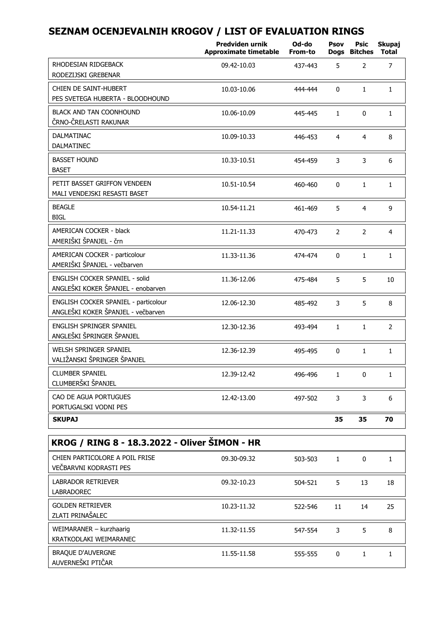|                                                                            | <b>Predviden urnik</b><br><b>Approximate timetable</b> | Od-do<br>From-to | Psov<br><b>Dogs</b>     | Psic<br><b>Bitches</b> | Skupaj<br><b>Total</b> |  |
|----------------------------------------------------------------------------|--------------------------------------------------------|------------------|-------------------------|------------------------|------------------------|--|
| RHODESIAN RIDGEBACK<br>RODEZIJSKI GREBENAR                                 | 09.42-10.03                                            | 437-443          | 5                       | 2                      | $\overline{7}$         |  |
| CHIEN DE SAINT-HUBERT<br>PES SVETEGA HUBERTA - BLOODHOUND                  | 10.03-10.06                                            | 444-444          | 0                       | $\mathbf{1}$           | $\mathbf{1}$           |  |
| <b>BLACK AND TAN COONHOUND</b><br>ČRNO-ČRELASTI RAKUNAR                    | 10.06-10.09                                            | 445-445          | $\mathbf{1}$            | $\mathbf{0}$           | $\mathbf{1}$           |  |
| <b>DALMATINAC</b><br>DALMATINEC                                            | 10.09-10.33                                            | 446-453          | $\overline{\mathbf{4}}$ | $\overline{4}$         | 8                      |  |
| <b>BASSET HOUND</b><br><b>BASET</b>                                        | 10.33-10.51                                            | 454-459          | 3                       | 3                      | 6                      |  |
| PETIT BASSET GRIFFON VENDEEN<br>MALI VENDEJSKI RESASTI BASET               | 10.51-10.54                                            | 460-460          | 0                       | $\mathbf{1}$           | $\mathbf 1$            |  |
| <b>BEAGLE</b><br><b>BIGL</b>                                               | 10.54-11.21                                            | 461-469          | 5                       | $\overline{4}$         | 9                      |  |
| <b>AMERICAN COCKER - black</b><br>AMERIŠKI ŠPANJEL - črn                   | 11.21-11.33                                            | 470-473          | $\overline{2}$          | $\overline{2}$         | 4                      |  |
| AMERICAN COCKER - particolour<br>AMERIŠKI ŠPANJEL - večbarven              | 11.33-11.36                                            | 474-474          | 0                       | $\mathbf{1}$           | $\mathbf{1}$           |  |
| ENGLISH COCKER SPANIEL - solid<br>ANGLEŠKI KOKER ŠPANJEL - enobarven       | 11.36-12.06                                            | 475-484          | 5                       | 5                      | 10                     |  |
| ENGLISH COCKER SPANIEL - particolour<br>ANGLEŠKI KOKER ŠPANJEL - večbarven | 12.06-12.30                                            | 485-492          | 3                       | 5                      | 8                      |  |
| ENGLISH SPRINGER SPANIEL<br>ANGLEŠKI ŠPRINGER ŠPANJEL                      | 12.30-12.36                                            | 493-494          | $\mathbf{1}$            | $\mathbf{1}$           | $\overline{2}$         |  |
| WELSH SPRINGER SPANIEL<br>VALIŽANSKI ŠPRINGER ŠPANJEL                      | 12.36-12.39                                            | 495-495          | 0                       | $\mathbf{1}$           | $\mathbf{1}$           |  |
| <b>CLUMBER SPANIEL</b><br>CLUMBERŠKI ŠPANJEL                               | 12.39-12.42                                            | 496-496          | $\mathbf{1}$            | $\mathbf{0}$           | $\mathbf{1}$           |  |
| CAO DE AGUA PORTUGUES<br>PORTUGALSKI VODNI PES                             | 12.42-13.00                                            | 497-502          | 3                       | 3                      | 6                      |  |
| <b>SKUPAJ</b>                                                              |                                                        |                  | 35                      | 35                     | 70                     |  |
| KROG / RING 8 - 18.3.2022 - Oliver ŠIMON - HR                              |                                                        |                  |                         |                        |                        |  |
| CHIEN PARTICOLORE A POIL FRISE<br>VEČBARVNI KODRASTI PES                   | 09.30-09.32                                            | 503-503          | 1                       | 0                      | $\mathbf{1}$           |  |
| <b>LABRADOR RETRIEVER</b><br><b>LABRADOREC</b>                             | 09.32-10.23                                            | 504-521          | 5                       | 13                     | 18                     |  |
| <b>GOLDEN RETRIEVER</b><br>ZLATI PRINAŠALEC                                | 10.23-11.32                                            | 522-546          | 11                      | 14                     | 25                     |  |
| WEIMARANER - kurzhaarig<br>KRATKODLAKI WEIMARANEC                          | 11.32-11.55                                            | 547-554          | 3                       | 5                      | 8                      |  |
| <b>BRAOUE D'AUVERGNE</b><br>AUVERNEŠKI PTIČAR                              | 11.55-11.58                                            | 555-555          | 0                       | $\mathbf{1}$           | $\mathbf 1$            |  |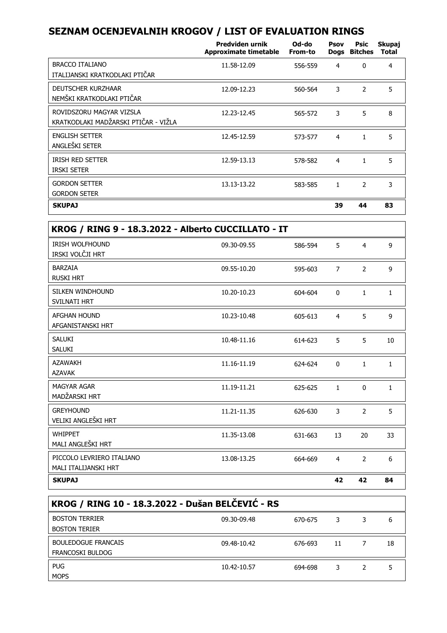|                                                                  | Predviden urnik<br>Approximate timetable | Od-do<br>From-to | Psov | Psic<br>Dogs Bitches | Skupaj<br>Total |
|------------------------------------------------------------------|------------------------------------------|------------------|------|----------------------|-----------------|
| <b>BRACCO ITALIANO</b><br>ITALIJANSKI KRATKODLAKI PTIČAR         | 11.58-12.09                              | 556-559          | 4    | $\Omega$             | 4               |
| <b>DEUTSCHER KURZHAAR</b><br>NEMŠKI KRATKODLAKI PTIČAR           | 12.09-12.23                              | 560-564          | 3    | $\overline{2}$       | 5               |
| ROVIDSZORU MAGYAR VIZSLA<br>KRATKODLAKI MADŽARSKI PTIČAR - VIŽLA | 12.23-12.45                              | 565-572          | 3    | 5                    | 8               |
| <b>ENGLISH SETTER</b><br>ANGLEŠKI SETER                          | 12.45-12.59                              | 573-577          | 4    | 1                    | 5               |
| <b>IRISH RED SETTER</b><br><b>IRSKI SETER</b>                    | 12.59-13.13                              | 578-582          | 4    | 1                    | 5               |
| <b>GORDON SETTER</b><br><b>GORDON SETER</b>                      | 13.13-13.22                              | 583-585          | 1    | $\mathcal{P}$        | 3               |
| <b>SKUPAJ</b>                                                    |                                          |                  | 39   | 44                   | 83              |

| KROG / RING 9 - 18.3.2022 - Alberto CUCCILLATO - IT |             |         |                |                |              |
|-----------------------------------------------------|-------------|---------|----------------|----------------|--------------|
| <b>IRISH WOLFHOUND</b><br>IRSKI VOLČJI HRT          | 09.30-09.55 | 586-594 | 5              | $\overline{4}$ | 9            |
| BARZAIA<br><b>RUSKI HRT</b>                         | 09.55-10.20 | 595-603 | 7              | 2              | 9            |
| <b>SILKEN WINDHOUND</b><br><b>SVILNATI HRT</b>      | 10.20-10.23 | 604-604 | $\Omega$       | $\mathbf{1}$   | $\mathbf{1}$ |
| <b>AFGHAN HOUND</b><br>AFGANISTANSKI HRT            | 10.23-10.48 | 605-613 | $\overline{4}$ | 5              | 9            |
| SALUKI<br><b>SALUKI</b>                             | 10.48-11.16 | 614-623 | 5              | 5              | 10           |
| <b>AZAWAKH</b><br><b>AZAVAK</b>                     | 11.16-11.19 | 624-624 | $\Omega$       | 1              | 1            |
| <b>MAGYAR AGAR</b><br>MADŽARSKI HRT                 | 11.19-11.21 | 625-625 | $\mathbf{1}$   | 0              | $\mathbf{1}$ |
| <b>GREYHOUND</b><br>VELIKI ANGLEŠKI HRT             | 11.21-11.35 | 626-630 | 3              | $\overline{2}$ | 5            |
| <b>WHIPPET</b><br>MALI ANGLEŠKI HRT                 | 11.35-13.08 | 631-663 | 13             | 20             | 33           |
| PICCOLO LEVRIERO ITALIANO<br>MALI ITALIJANSKI HRT   | 13.08-13.25 | 664-669 | $\overline{4}$ | $\overline{2}$ | 6            |
| <b>SKUPAJ</b>                                       |             |         | 42             | 42             | 84           |

| KROG / RING 10 - 18.3.2022 - Dušan BELČEVIĆ - RS      |             |         |    |  |    |  |
|-------------------------------------------------------|-------------|---------|----|--|----|--|
| <b>BOSTON TERRIER</b><br><b>BOSTON TERIER</b>         | 09.30-09.48 | 670-675 |    |  | 6  |  |
| <b>BOULEDOGUE FRANCAIS</b><br><b>FRANCOSKI BULDOG</b> | 09.48-10.42 | 676-693 | 11 |  | 18 |  |
| <b>PUG</b><br><b>MOPS</b>                             | 10.42-10.57 | 694-698 |    |  |    |  |